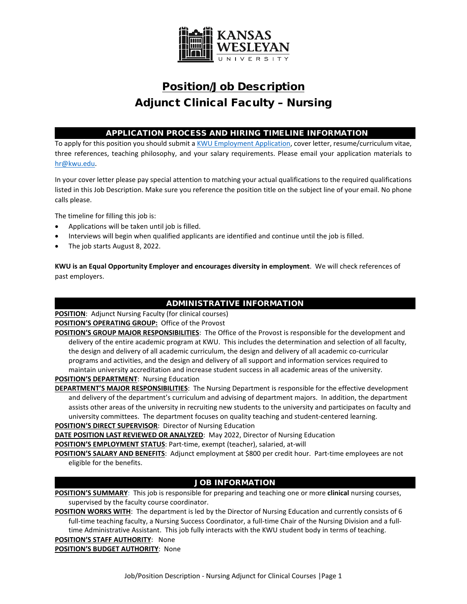

# Position/Job Description Adjunct Clinical Faculty – Nursing

## APPLICATION PROCESS AND HIRING TIMELINE INFORMATION

To apply for this position you should submit [a KWU Employment Application,](https://www.kwu.edu/wp-content/uploads/Employment-Application-Form-ELECTRONIC-Revised-3-.pdf) cover letter, resume/curriculum vitae, three references, teaching philosophy, and your salary requirements. Please email your application materials to [hr@kwu.edu.](mailto:hr@kwu.edu)

In your cover letter please pay special attention to matching your actual qualifications to the required qualifications listed in this Job Description. Make sure you reference the position title on the subject line of your email. No phone calls please.

The timeline for filling this job is:

- Applications will be taken until job is filled.
- Interviews will begin when qualified applicants are identified and continue until the job is filled.
- The job starts August 8, 2022.

**KWU is an Equal Opportunity Employer and encourages diversity in employment**. We will check references of past employers.

## ADMINISTRATIVE INFORMATION

**POSITION**: Adjunct Nursing Faculty (for clinical courses) **POSITION'S OPERATING GROUP:** Office of the Provost

**POSITION'S GROUP MAJOR RESPONSIBILITIES**: The Office of the Provost is responsible for the development and delivery of the entire academic program at KWU. This includes the determination and selection of all faculty, the design and delivery of all academic curriculum, the design and delivery of all academic co-curricular programs and activities, and the design and delivery of all support and information services required to maintain university accreditation and increase student success in all academic areas of the university. **POSITION'S DEPARTMENT**: Nursing Education

**DEPARTMENT'S MAJOR RESPONSIBILITIES**: The Nursing Department is responsible for the effective development and delivery of the department's curriculum and advising of department majors. In addition, the department assists other areas of the university in recruiting new students to the university and participates on faculty and university committees. The department focuses on quality teaching and student-centered learning.

#### **POSITION'S DIRECT SUPERVISOR**: Director of Nursing Education

**DATE POSITION LAST REVIEWED OR ANALYZED**: May 2022, Director of Nursing Education

**POSITION'S EMPLOYMENT STATUS**: Part-time, exempt (teacher), salaried, at-will

**POSITION'S SALARY AND BENEFITS**: Adjunct employment at \$800 per credit hour. Part-time employees are not eligible for the benefits.

## JOB INFORMATION

**POSITION'S SUMMARY**: This job is responsible for preparing and teaching one or more **clinical** nursing courses, supervised by the faculty course coordinator.

**POSITION WORKS WITH**: The department is led by the Director of Nursing Education and currently consists of 6 full-time teaching faculty, a Nursing Success Coordinator, a full-time Chair of the Nursing Division and a fulltime Administrative Assistant. This job fully interacts with the KWU student body in terms of teaching.

#### **POSITION'S STAFF AUTHORITY**: None

**POSITION'S BUDGET AUTHORITY**: None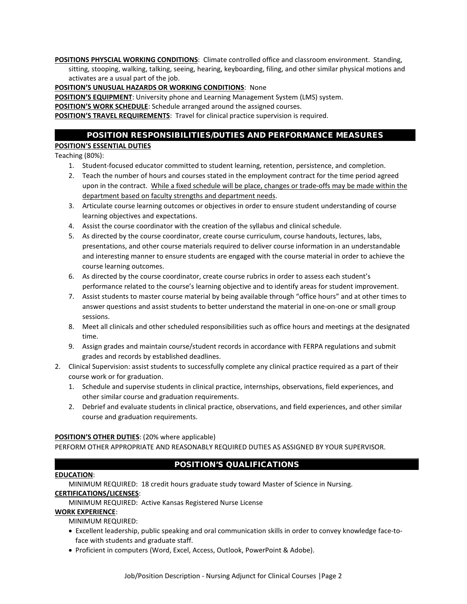**POSITIONS PHYSCIAL WORKING CONDITIONS**: Climate controlled office and classroom environment. Standing, sitting, stooping, walking, talking, seeing, hearing, keyboarding, filing, and other similar physical motions and activates are a usual part of the job.

#### **POSITION'S UNUSUAL HAZARDS OR WORKING CONDITIONS**: None

**POSITION'S EQUIPMENT**: University phone and Learning Management System (LMS) system.

**POSITION'S WORK SCHEDULE**: Schedule arranged around the assigned courses.

**POSITION'S TRAVEL REQUIREMENTS**: Travel for clinical practice supervision is required.

#### POSITION RESPONSIBILITIES/DUTIES AND PERFORMANCE MEASURES

## **POSITION'S ESSENTIAL DUTIES**

Teaching (80%):

- 1. Student-focused educator committed to student learning, retention, persistence, and completion.
- 2. Teach the number of hours and courses stated in the employment contract for the time period agreed upon in the contract. While a fixed schedule will be place, changes or trade-offs may be made within the department based on faculty strengths and department needs.
- 3. Articulate course learning outcomes or objectives in order to ensure student understanding of course learning objectives and expectations.
- 4. Assist the course coordinator with the creation of the syllabus and clinical schedule.
- 5. As directed by the course coordinator, create course curriculum, course handouts, lectures, labs, presentations, and other course materials required to deliver course information in an understandable and interesting manner to ensure students are engaged with the course material in order to achieve the course learning outcomes.
- 6. As directed by the course coordinator, create course rubrics in order to assess each student's performance related to the course's learning objective and to identify areas for student improvement.
- 7. Assist students to master course material by being available through "office hours" and at other times to answer questions and assist students to better understand the material in one-on-one or small group sessions.
- 8. Meet all clinicals and other scheduled responsibilities such as office hours and meetings at the designated time.
- 9. Assign grades and maintain course/student records in accordance with FERPA regulations and submit grades and records by established deadlines.
- 2. Clinical Supervision: assist students to successfully complete any clinical practice required as a part of their course work or for graduation.
	- 1. Schedule and supervise students in clinical practice, internships, observations, field experiences, and other similar course and graduation requirements.
	- 2. Debrief and evaluate students in clinical practice, observations, and field experiences, and other similar course and graduation requirements.

#### **POSITION'S OTHER DUTIES**: (20% where applicable)

PERFORM OTHER APPROPRIATE AND REASONABLY REQUIRED DUTIES AS ASSIGNED BY YOUR SUPERVISOR.

## POSITION'S QUALIFICATIONS

#### **EDUCATION**:

MINIMUM REQUIRED: 18 credit hours graduate study toward Master of Science in Nursing.

#### **CERTIFICATIONS/LICENSES**:

MINIMUM REQUIRED: Active Kansas Registered Nurse License

#### **WORK EXPERIENCE**:

MINIMUM REQUIRED:

- Excellent leadership, public speaking and oral communication skills in order to convey knowledge face-toface with students and graduate staff.
- Proficient in computers (Word, Excel, Access, Outlook, PowerPoint & Adobe).